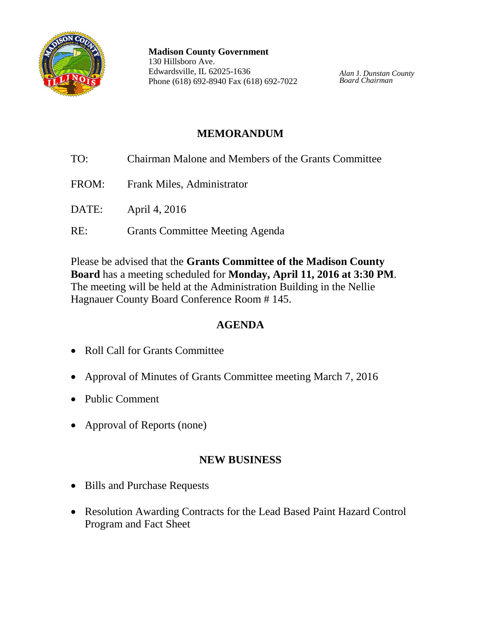

**Madison County Government** 130 Hillsboro Ave. Edwardsville, IL 62025-1636 Phone (618) 692-8940 Fax (618) 692-7022

*Alan* J. *Dunstan County Board Chairman*

# **MEMORANDUM**

TO: Chairman Malone and Members of the Grants Committee FROM: Frank Miles, Administrator DATE: April 4, 2016 RE: Grants Committee Meeting Agenda

Please be advised that the **Grants Committee of the Madison County Board** has a meeting scheduled for **Monday, April 11, 2016 at 3:30 PM**. The meeting will be held at the Administration Building in the Nellie Hagnauer County Board Conference Room # 145.

## **AGENDA**

- Roll Call for Grants Committee
- Approval of Minutes of Grants Committee meeting March 7, 2016
- Public Comment
- Approval of Reports (none)

#### **NEW BUSINESS**

- Bills and Purchase Requests
- Resolution Awarding Contracts for the Lead Based Paint Hazard Control Program and Fact Sheet